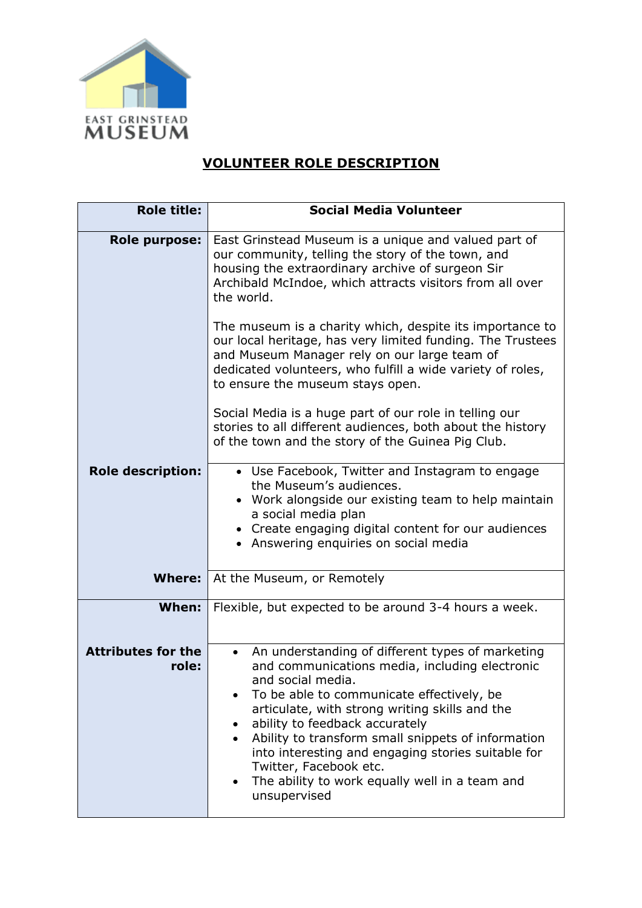

## **VOLUNTEER ROLE DESCRIPTION**

| <b>Role title:</b>                 | <b>Social Media Volunteer</b>                                                                                                                                                                                                                                                                                                                                                                                                                                                                                |
|------------------------------------|--------------------------------------------------------------------------------------------------------------------------------------------------------------------------------------------------------------------------------------------------------------------------------------------------------------------------------------------------------------------------------------------------------------------------------------------------------------------------------------------------------------|
| <b>Role purpose:</b>               | East Grinstead Museum is a unique and valued part of<br>our community, telling the story of the town, and<br>housing the extraordinary archive of surgeon Sir<br>Archibald McIndoe, which attracts visitors from all over<br>the world.                                                                                                                                                                                                                                                                      |
|                                    | The museum is a charity which, despite its importance to<br>our local heritage, has very limited funding. The Trustees<br>and Museum Manager rely on our large team of<br>dedicated volunteers, who fulfill a wide variety of roles,<br>to ensure the museum stays open.                                                                                                                                                                                                                                     |
|                                    | Social Media is a huge part of our role in telling our<br>stories to all different audiences, both about the history<br>of the town and the story of the Guinea Pig Club.                                                                                                                                                                                                                                                                                                                                    |
| <b>Role description:</b>           | • Use Facebook, Twitter and Instagram to engage<br>the Museum's audiences.<br>• Work alongside our existing team to help maintain<br>a social media plan<br>• Create engaging digital content for our audiences<br>• Answering enquiries on social media                                                                                                                                                                                                                                                     |
| <b>Where:</b>                      | At the Museum, or Remotely                                                                                                                                                                                                                                                                                                                                                                                                                                                                                   |
| When:                              | Flexible, but expected to be around 3-4 hours a week.                                                                                                                                                                                                                                                                                                                                                                                                                                                        |
| <b>Attributes for the</b><br>role: | An understanding of different types of marketing<br>$\bullet$<br>and communications media, including electronic<br>and social media.<br>To be able to communicate effectively, be<br>articulate, with strong writing skills and the<br>ability to feedback accurately<br>٠<br>Ability to transform small snippets of information<br>$\bullet$<br>into interesting and engaging stories suitable for<br>Twitter, Facebook etc.<br>The ability to work equally well in a team and<br>$\bullet$<br>unsupervised |